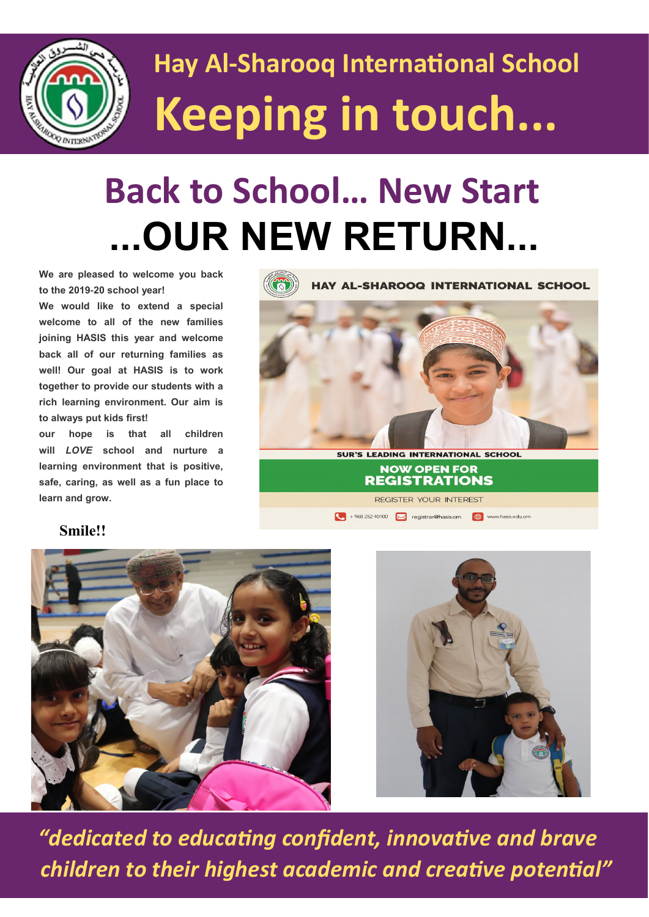

## **Hay Al-Sharooq International School Keeping in touch...**

#### **Back to School… New Start ...OUR NEW RETURN...**

**We are pleased to welcome you back to the 2019-20 school year!** 

**We would like to extend a special welcome to all of the new families joining HASIS this year and welcome back all of our returning families as well! Our goal at HASIS is to work together to provide our students with a rich learning environment. Our aim is to always put kids first!** 

**our hope is that all children will** *LOVE* **school and nurture a learning environment that is positive, safe, caring, as well as a fun place to learn and grow.** 



#### **Smile!!**





 *"dedicated to educating confident, innovative and brave children to their highest academic and creative potential"*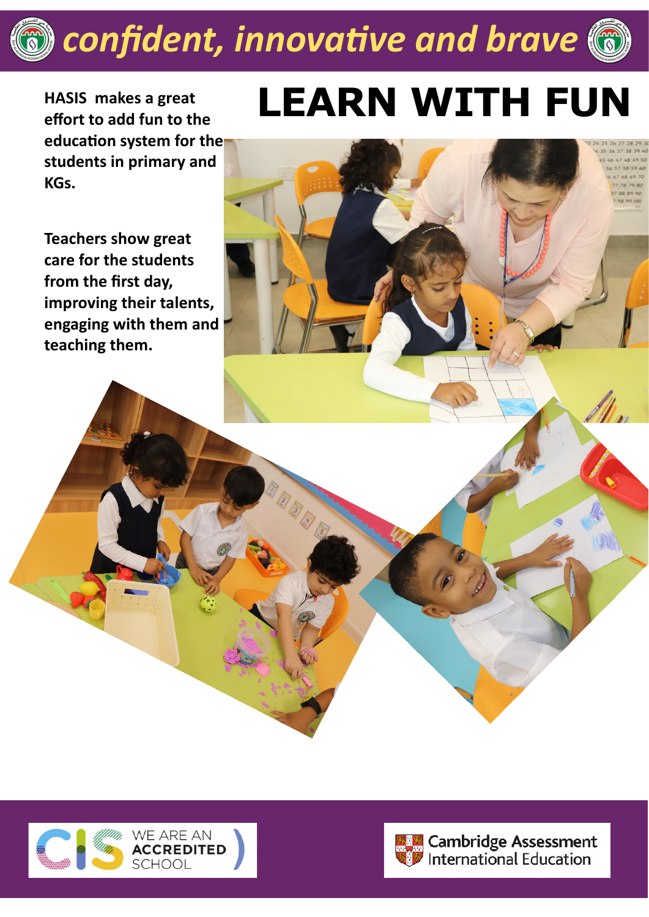### *confident, innovative and brave*



**HASIS makes a great education system for the students in primary and KGs.** 

**Teachers show great care for the students from the first day, improving their talents, engaging with them and teaching them.** 

# **effort to add fun to the LEARN WITH FUN**





Cambridge Assessment<br>Dinternational Education